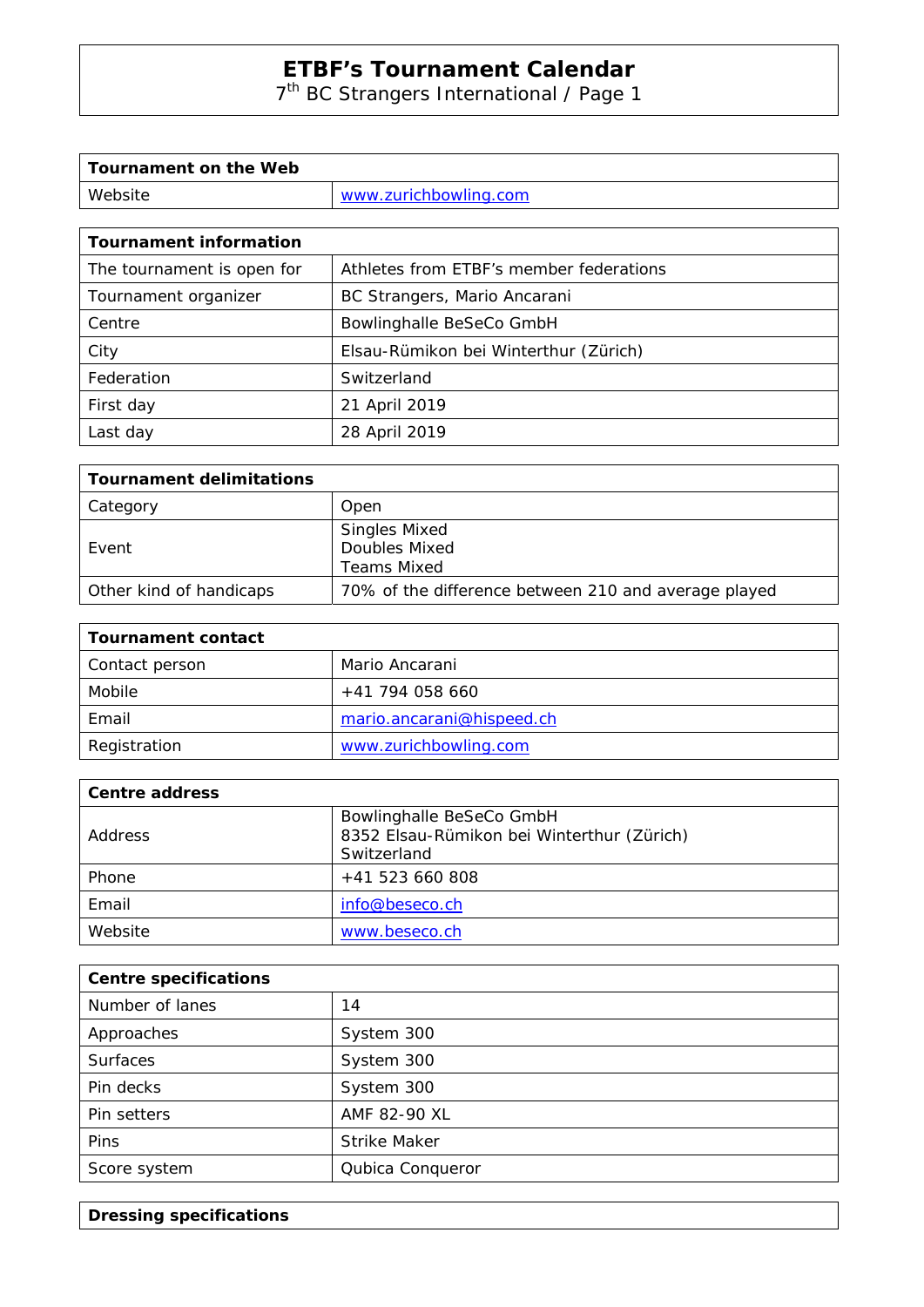# **ETBF's Tournament Calendar**

7th BC Strangers International / Page 1

| Tournament on the Web |                       |
|-----------------------|-----------------------|
| Website               | www.zurichbowling.com |

| <b>Tournament information</b> |                                         |  |
|-------------------------------|-----------------------------------------|--|
| The tournament is open for    | Athletes from ETBF's member federations |  |
| Tournament organizer          | BC Strangers, Mario Ancarani            |  |
| Centre                        | Bowlinghalle BeSeCo GmbH                |  |
| City                          | Elsau-Rümikon bei Winterthur (Zürich)   |  |
| Federation                    | Switzerland                             |  |
| First day                     | 21 April 2019                           |  |
| Last day                      | 28 April 2019                           |  |

| Tournament delimitations |                                                             |
|--------------------------|-------------------------------------------------------------|
| Category                 | Open                                                        |
| Event                    | <b>Singles Mixed</b><br>Doubles Mixed<br><b>Teams Mixed</b> |
| Other kind of handicaps  | 70% of the difference between 210 and average played        |

| <b>Tournament contact</b> |                           |
|---------------------------|---------------------------|
| Contact person            | Mario Ancarani            |
| Mobile                    | +41 794 058 660           |
| Email                     | mario.ancarani@hispeed.ch |
| Registration              | www.zurichbowling.com     |

| <b>Centre address</b> |                                                                                       |
|-----------------------|---------------------------------------------------------------------------------------|
| Address               | Bowlinghalle BeSeCo GmbH<br>8352 Elsau-Rümikon bei Winterthur (Zürich)<br>Switzerland |
| Phone                 | $+41$ 523 660 808                                                                     |
| Email                 | info@beseco.ch                                                                        |
| Website               | www.beseco.ch                                                                         |

| <b>Centre specifications</b> |                     |
|------------------------------|---------------------|
| Number of lanes              | 14                  |
| Approaches                   | System 300          |
| <b>Surfaces</b>              | System 300          |
| Pin decks                    | System 300          |
| Pin setters                  | AMF 82-90 XL        |
| Pins                         | <b>Strike Maker</b> |
| Score system                 | Qubica Conqueror    |

**Dressing specifications**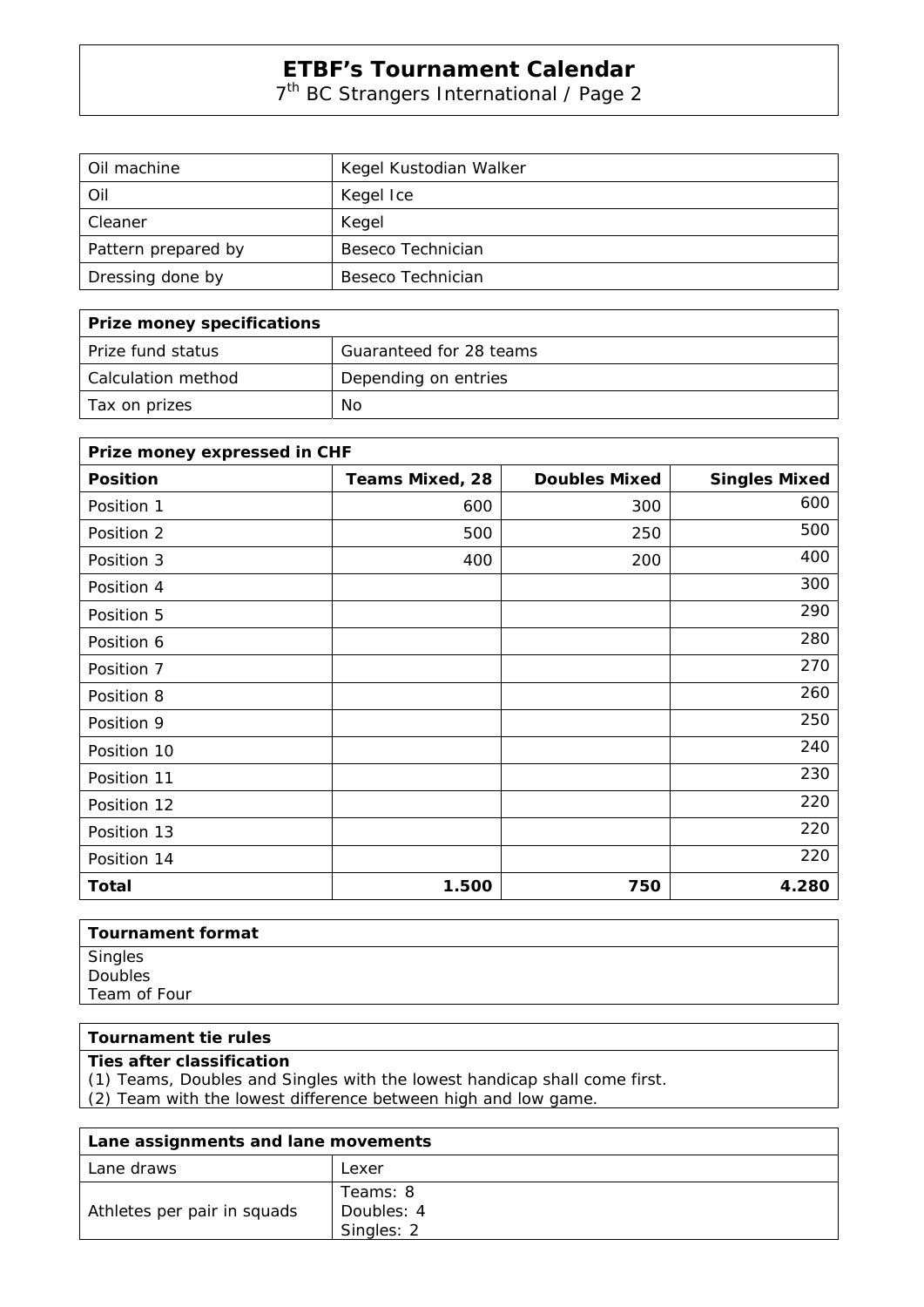## **ETBF's Tournament Calendar**

7th BC Strangers International / Page 2

| Oil machine         | Kegel Kustodian Walker |
|---------------------|------------------------|
| <b>Oil</b>          | Kegel Ice              |
| Cleaner             | Kegel                  |
| Pattern prepared by | Beseco Technician      |
| Dressing done by    | Beseco Technician      |

| Prize money specifications |                         |
|----------------------------|-------------------------|
| l Prize fund status        | Guaranteed for 28 teams |
| l Calculation method       | Depending on entries    |
| Tax on prizes              | No                      |

| Prize money expressed in CHF |                        |                      |                      |
|------------------------------|------------------------|----------------------|----------------------|
| <b>Position</b>              | <b>Teams Mixed, 28</b> | <b>Doubles Mixed</b> | <b>Singles Mixed</b> |
| Position 1                   | 600                    | 300                  | 600                  |
| Position 2                   | 500                    | 250                  | 500                  |
| Position 3                   | 400                    | 200                  | 400                  |
| Position 4                   |                        |                      | 300                  |
| Position 5                   |                        |                      | 290                  |
| Position 6                   |                        |                      | 280                  |
| Position 7                   |                        |                      | 270                  |
| Position 8                   |                        |                      | 260                  |
| Position 9                   |                        |                      | 250                  |
| Position 10                  |                        |                      | 240                  |
| Position 11                  |                        |                      | 230                  |
| Position 12                  |                        |                      | 220                  |
| Position 13                  |                        |                      | 220                  |
| Position 14                  |                        |                      | 220                  |
| <b>Total</b>                 | 1.500                  | 750                  | 4.280                |

| Tournament format  |
|--------------------|
| Singles<br>Doubles |
|                    |
| Team of Four       |
|                    |

### **Tournament tie rules**

#### **Ties after classification**

(1) Teams, Doubles and Singles with the lowest handicap shall come first.

(2) Team with the lowest difference between high and low game.

| Lane assignments and lane movements |                                      |
|-------------------------------------|--------------------------------------|
| Lane draws                          | Lexer                                |
| Athletes per pair in squads         | Teams: 8<br>Doubles: 4<br>Singles: 2 |